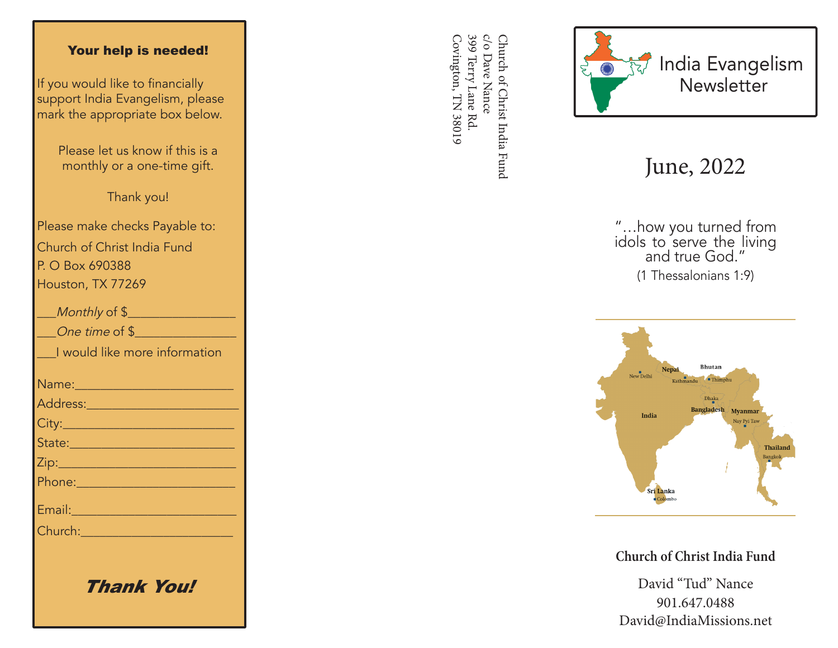## Your help is needed!

If you would like to financially support India Evangelism, please mark the appropriate box below.

> Please let us know if this is a monthly or a one-time gift.

> > Thank you!

Please make checks Payable to: Church of Christ India Fund P. O Box 690388 Houston, TX 77269

| Monthly of \$                                                                                                 |
|---------------------------------------------------------------------------------------------------------------|
| One time of \$                                                                                                |
| I would like more information                                                                                 |
|                                                                                                               |
|                                                                                                               |
|                                                                                                               |
| State: 2008 - 2008 - 2010 - 2011 - 2012 - 2012 - 2012 - 2012 - 2014 - 2014 - 2014 - 2014 - 2014 - 2014 - 2014 |
|                                                                                                               |
|                                                                                                               |
| Email: 2008 - 2008 - 2014 - 2014 - 2014 - 2014 - 2014 - 2014 - 2014 - 2014 - 2014 - 2014 - 2014 - 2014 - 2014 |
| Church: 2008 2009 2009 2010 2021 2022 2023 2024 2022 2023 2024 2022 2023 2024 2025 2026 2027 2028 20          |
|                                                                                                               |
|                                                                                                               |

Thank You!

399 Terry Lane Rd. c/o Dave Nance Covington, TN 38019 Covington, TN 38019 399 Terry Lane Rd. c/o Dave Nance Church of Christ India Fund Church of Christ India Fund



## June, 2022

"…how you turned from idols to serve the living and true God." (1 Thessalonians 1:9)



**Church of Christ India Fund**

David "Tud" Nance 901.647.0488 David@IndiaMissions.net